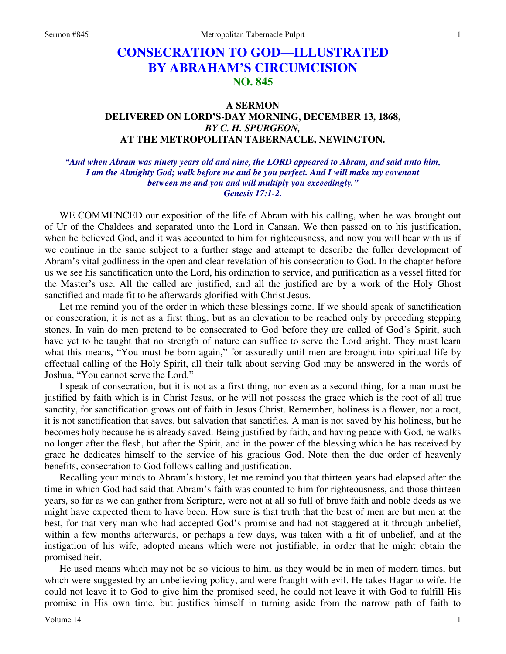## **CONSECRATION TO GOD—ILLUSTRATED BY ABRAHAM'S CIRCUMCISION NO. 845**

## **A SERMON DELIVERED ON LORD'S-DAY MORNING, DECEMBER 13, 1868,**  *BY C. H. SPURGEON,*  **AT THE METROPOLITAN TABERNACLE, NEWINGTON.**

*"And when Abram was ninety years old and nine, the LORD appeared to Abram, and said unto him, I am the Almighty God; walk before me and be you perfect. And I will make my covenant between me and you and will multiply you exceedingly." Genesis 17:1-2.* 

WE COMMENCED our exposition of the life of Abram with his calling, when he was brought out of Ur of the Chaldees and separated unto the Lord in Canaan. We then passed on to his justification, when he believed God, and it was accounted to him for righteousness, and now you will bear with us if we continue in the same subject to a further stage and attempt to describe the fuller development of Abram's vital godliness in the open and clear revelation of his consecration to God. In the chapter before us we see his sanctification unto the Lord, his ordination to service, and purification as a vessel fitted for the Master's use. All the called are justified, and all the justified are by a work of the Holy Ghost sanctified and made fit to be afterwards glorified with Christ Jesus.

 Let me remind you of the order in which these blessings come. If we should speak of sanctification or consecration, it is not as a first thing, but as an elevation to be reached only by preceding stepping stones. In vain do men pretend to be consecrated to God before they are called of God's Spirit, such have yet to be taught that no strength of nature can suffice to serve the Lord aright. They must learn what this means, "You must be born again," for assuredly until men are brought into spiritual life by effectual calling of the Holy Spirit, all their talk about serving God may be answered in the words of Joshua, "You cannot serve the Lord."

 I speak of consecration, but it is not as a first thing, nor even as a second thing, for a man must be justified by faith which is in Christ Jesus, or he will not possess the grace which is the root of all true sanctity, for sanctification grows out of faith in Jesus Christ. Remember, holiness is a flower, not a root, it is not sanctification that saves, but salvation that sanctifies*.* A man is not saved by his holiness, but he becomes holy because he is already saved. Being justified by faith, and having peace with God, he walks no longer after the flesh, but after the Spirit, and in the power of the blessing which he has received by grace he dedicates himself to the service of his gracious God. Note then the due order of heavenly benefits, consecration to God follows calling and justification.

 Recalling your minds to Abram's history, let me remind you that thirteen years had elapsed after the time in which God had said that Abram's faith was counted to him for righteousness, and those thirteen years, so far as we can gather from Scripture, were not at all so full of brave faith and noble deeds as we might have expected them to have been. How sure is that truth that the best of men are but men at the best, for that very man who had accepted God's promise and had not staggered at it through unbelief, within a few months afterwards, or perhaps a few days, was taken with a fit of unbelief, and at the instigation of his wife, adopted means which were not justifiable, in order that he might obtain the promised heir.

 He used means which may not be so vicious to him, as they would be in men of modern times, but which were suggested by an unbelieving policy, and were fraught with evil. He takes Hagar to wife. He could not leave it to God to give him the promised seed, he could not leave it with God to fulfill His promise in His own time, but justifies himself in turning aside from the narrow path of faith to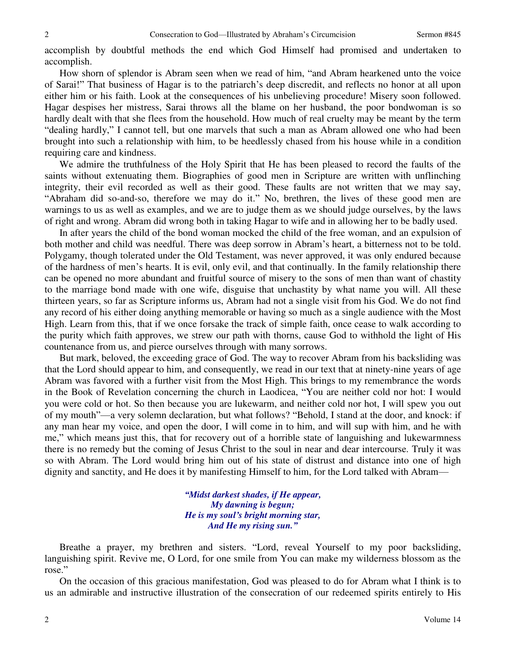accomplish by doubtful methods the end which God Himself had promised and undertaken to accomplish.

 How shorn of splendor is Abram seen when we read of him, "and Abram hearkened unto the voice of Sarai!" That business of Hagar is to the patriarch's deep discredit, and reflects no honor at all upon either him or his faith. Look at the consequences of his unbelieving procedure! Misery soon followed. Hagar despises her mistress, Sarai throws all the blame on her husband, the poor bondwoman is so hardly dealt with that she flees from the household. How much of real cruelty may be meant by the term "dealing hardly," I cannot tell, but one marvels that such a man as Abram allowed one who had been brought into such a relationship with him, to be heedlessly chased from his house while in a condition requiring care and kindness.

 We admire the truthfulness of the Holy Spirit that He has been pleased to record the faults of the saints without extenuating them. Biographies of good men in Scripture are written with unflinching integrity, their evil recorded as well as their good. These faults are not written that we may say, "Abraham did so-and-so, therefore we may do it." No, brethren, the lives of these good men are warnings to us as well as examples, and we are to judge them as we should judge ourselves, by the laws of right and wrong. Abram did wrong both in taking Hagar to wife and in allowing her to be badly used.

 In after years the child of the bond woman mocked the child of the free woman, and an expulsion of both mother and child was needful. There was deep sorrow in Abram's heart, a bitterness not to be told. Polygamy, though tolerated under the Old Testament, was never approved, it was only endured because of the hardness of men's hearts. It is evil, only evil, and that continually. In the family relationship there can be opened no more abundant and fruitful source of misery to the sons of men than want of chastity to the marriage bond made with one wife, disguise that unchastity by what name you will. All these thirteen years, so far as Scripture informs us, Abram had not a single visit from his God. We do not find any record of his either doing anything memorable or having so much as a single audience with the Most High. Learn from this, that if we once forsake the track of simple faith, once cease to walk according to the purity which faith approves, we strew our path with thorns, cause God to withhold the light of His countenance from us, and pierce ourselves through with many sorrows.

 But mark, beloved, the exceeding grace of God. The way to recover Abram from his backsliding was that the Lord should appear to him, and consequently, we read in our text that at ninety-nine years of age Abram was favored with a further visit from the Most High. This brings to my remembrance the words in the Book of Revelation concerning the church in Laodicea, "You are neither cold nor hot: I would you were cold or hot. So then because you are lukewarm, and neither cold nor hot, I will spew you out of my mouth"—a very solemn declaration, but what follows? "Behold, I stand at the door, and knock: if any man hear my voice, and open the door, I will come in to him, and will sup with him, and he with me," which means just this, that for recovery out of a horrible state of languishing and lukewarmness there is no remedy but the coming of Jesus Christ to the soul in near and dear intercourse. Truly it was so with Abram. The Lord would bring him out of his state of distrust and distance into one of high dignity and sanctity, and He does it by manifesting Himself to him, for the Lord talked with Abram—

> *"Midst darkest shades, if He appear, My dawning is begun; He is my soul's bright morning star, And He my rising sun."*

 Breathe a prayer, my brethren and sisters. "Lord, reveal Yourself to my poor backsliding, languishing spirit. Revive me, O Lord, for one smile from You can make my wilderness blossom as the rose."

 On the occasion of this gracious manifestation, God was pleased to do for Abram what I think is to us an admirable and instructive illustration of the consecration of our redeemed spirits entirely to His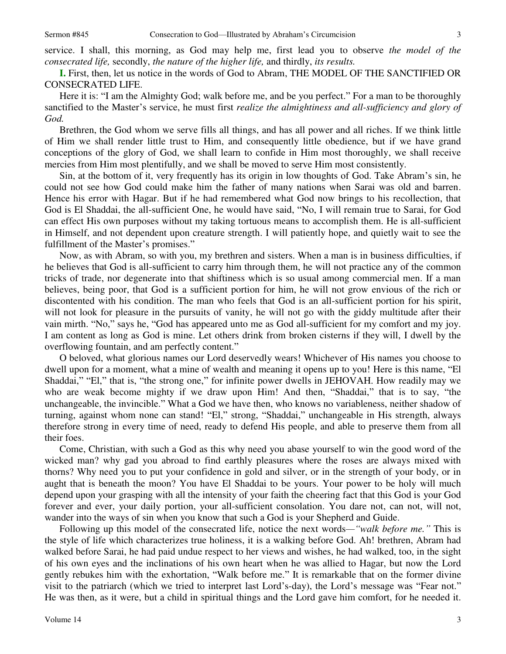service. I shall, this morning, as God may help me, first lead you to observe *the model of the consecrated life,* secondly, *the nature of the higher life,* and thirdly, *its results.*

**I.** First, then, let us notice in the words of God to Abram, THE MODEL OF THE SANCTIFIED OR CONSECRATED LIFE.

 Here it is: "I am the Almighty God; walk before me, and be you perfect." For a man to be thoroughly sanctified to the Master's service, he must first *realize the almightiness and all-sufficiency and glory of God.* 

 Brethren, the God whom we serve fills all things, and has all power and all riches. If we think little of Him we shall render little trust to Him, and consequently little obedience, but if we have grand conceptions of the glory of God, we shall learn to confide in Him most thoroughly, we shall receive mercies from Him most plentifully, and we shall be moved to serve Him most consistently.

 Sin, at the bottom of it, very frequently has its origin in low thoughts of God. Take Abram's sin, he could not see how God could make him the father of many nations when Sarai was old and barren. Hence his error with Hagar. But if he had remembered what God now brings to his recollection, that God is El Shaddai, the all-sufficient One, he would have said, "No, I will remain true to Sarai, for God can effect His own purposes without my taking tortuous means to accomplish them. He is all-sufficient in Himself, and not dependent upon creature strength. I will patiently hope, and quietly wait to see the fulfillment of the Master's promises."

 Now, as with Abram, so with you, my brethren and sisters. When a man is in business difficulties, if he believes that God is all-sufficient to carry him through them, he will not practice any of the common tricks of trade, nor degenerate into that shiftiness which is so usual among commercial men. If a man believes, being poor, that God is a sufficient portion for him, he will not grow envious of the rich or discontented with his condition. The man who feels that God is an all-sufficient portion for his spirit, will not look for pleasure in the pursuits of vanity, he will not go with the giddy multitude after their vain mirth. "No," says he, "God has appeared unto me as God all-sufficient for my comfort and my joy. I am content as long as God is mine. Let others drink from broken cisterns if they will, I dwell by the overflowing fountain, and am perfectly content."

 O beloved, what glorious names our Lord deservedly wears! Whichever of His names you choose to dwell upon for a moment, what a mine of wealth and meaning it opens up to you! Here is this name, "El Shaddai," "El," that is, "the strong one," for infinite power dwells in JEHOVAH. How readily may we who are weak become mighty if we draw upon Him! And then, "Shaddai," that is to say, "the unchangeable, the invincible." What a God we have then, who knows no variableness, neither shadow of turning, against whom none can stand! "El," strong, "Shaddai," unchangeable in His strength, always therefore strong in every time of need, ready to defend His people, and able to preserve them from all their foes.

 Come, Christian, with such a God as this why need you abase yourself to win the good word of the wicked man? why gad you abroad to find earthly pleasures where the roses are always mixed with thorns? Why need you to put your confidence in gold and silver, or in the strength of your body, or in aught that is beneath the moon? You have El Shaddai to be yours. Your power to be holy will much depend upon your grasping with all the intensity of your faith the cheering fact that this God is your God forever and ever, your daily portion, your all-sufficient consolation. You dare not, can not, will not, wander into the ways of sin when you know that such a God is your Shepherd and Guide.

 Following up this model of the consecrated life, notice the next words*—"walk before me."* This is the style of life which characterizes true holiness, it is a walking before God. Ah! brethren, Abram had walked before Sarai, he had paid undue respect to her views and wishes, he had walked, too, in the sight of his own eyes and the inclinations of his own heart when he was allied to Hagar, but now the Lord gently rebukes him with the exhortation, "Walk before me." It is remarkable that on the former divine visit to the patriarch (which we tried to interpret last Lord's-day), the Lord's message was "Fear not." He was then, as it were, but a child in spiritual things and the Lord gave him comfort, for he needed it.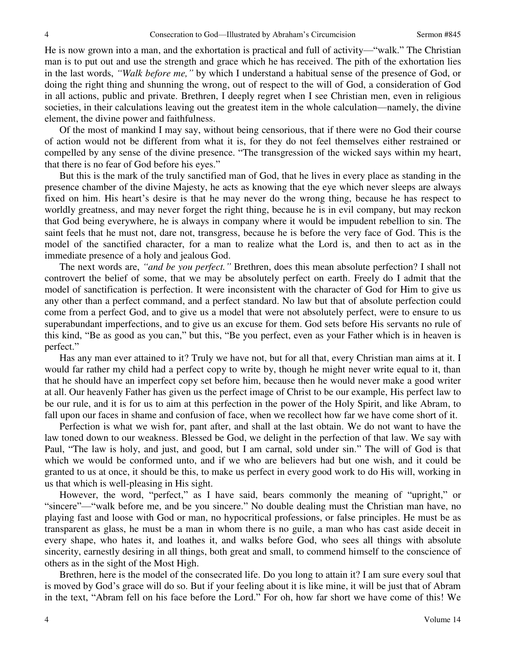He is now grown into a man, and the exhortation is practical and full of activity—"walk." The Christian man is to put out and use the strength and grace which he has received. The pith of the exhortation lies in the last words, *"Walk before me,"* by which I understand a habitual sense of the presence of God, or doing the right thing and shunning the wrong, out of respect to the will of God, a consideration of God in all actions, public and private. Brethren, I deeply regret when I see Christian men, even in religious societies, in their calculations leaving out the greatest item in the whole calculation—namely, the divine element, the divine power and faithfulness.

 Of the most of mankind I may say, without being censorious, that if there were no God their course of action would not be different from what it is, for they do not feel themselves either restrained or compelled by any sense of the divine presence. "The transgression of the wicked says within my heart, that there is no fear of God before his eyes."

 But this is the mark of the truly sanctified man of God, that he lives in every place as standing in the presence chamber of the divine Majesty, he acts as knowing that the eye which never sleeps are always fixed on him. His heart's desire is that he may never do the wrong thing, because he has respect to worldly greatness, and may never forget the right thing, because he is in evil company, but may reckon that God being everywhere, he is always in company where it would be impudent rebellion to sin. The saint feels that he must not, dare not, transgress, because he is before the very face of God. This is the model of the sanctified character, for a man to realize what the Lord is, and then to act as in the immediate presence of a holy and jealous God.

 The next words are, *"and be you perfect."* Brethren, does this mean absolute perfection? I shall not controvert the belief of some, that we may be absolutely perfect on earth. Freely do I admit that the model of sanctification is perfection. It were inconsistent with the character of God for Him to give us any other than a perfect command, and a perfect standard. No law but that of absolute perfection could come from a perfect God, and to give us a model that were not absolutely perfect, were to ensure to us superabundant imperfections, and to give us an excuse for them. God sets before His servants no rule of this kind, "Be as good as you can," but this, "Be you perfect, even as your Father which is in heaven is perfect."

 Has any man ever attained to it? Truly we have not, but for all that, every Christian man aims at it. I would far rather my child had a perfect copy to write by, though he might never write equal to it, than that he should have an imperfect copy set before him, because then he would never make a good writer at all. Our heavenly Father has given us the perfect image of Christ to be our example, His perfect law to be our rule, and it is for us to aim at this perfection in the power of the Holy Spirit, and like Abram, to fall upon our faces in shame and confusion of face, when we recollect how far we have come short of it.

 Perfection is what we wish for, pant after, and shall at the last obtain. We do not want to have the law toned down to our weakness. Blessed be God, we delight in the perfection of that law. We say with Paul, "The law is holy, and just, and good, but I am carnal, sold under sin." The will of God is that which we would be conformed unto, and if we who are believers had but one wish, and it could be granted to us at once, it should be this, to make us perfect in every good work to do His will, working in us that which is well-pleasing in His sight.

 However, the word, "perfect," as I have said, bears commonly the meaning of "upright," or "sincere"—"walk before me, and be you sincere." No double dealing must the Christian man have, no playing fast and loose with God or man, no hypocritical professions, or false principles. He must be as transparent as glass, he must be a man in whom there is no guile, a man who has cast aside deceit in every shape, who hates it, and loathes it, and walks before God, who sees all things with absolute sincerity, earnestly desiring in all things, both great and small, to commend himself to the conscience of others as in the sight of the Most High.

 Brethren, here is the model of the consecrated life. Do you long to attain it? I am sure every soul that is moved by God's grace will do so. But if your feeling about it is like mine, it will be just that of Abram in the text, "Abram fell on his face before the Lord." For oh, how far short we have come of this! We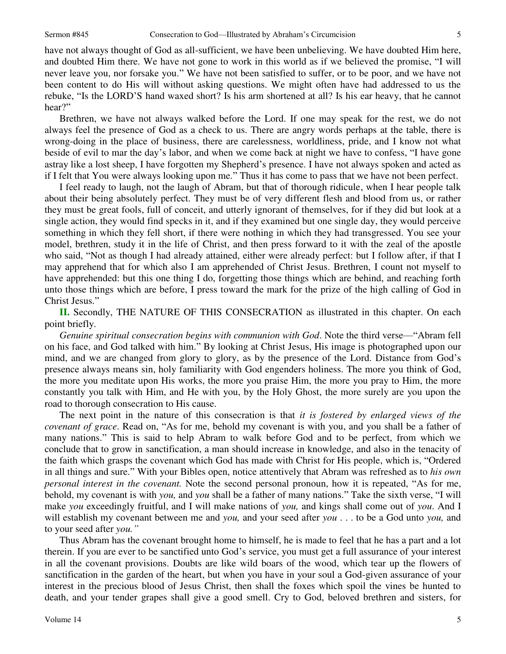have not always thought of God as all-sufficient, we have been unbelieving. We have doubted Him here, and doubted Him there. We have not gone to work in this world as if we believed the promise, "I will never leave you, nor forsake you." We have not been satisfied to suffer, or to be poor, and we have not been content to do His will without asking questions. We might often have had addressed to us the rebuke, "Is the LORD'S hand waxed short? Is his arm shortened at all? Is his ear heavy, that he cannot hear?"

 Brethren, we have not always walked before the Lord. If one may speak for the rest, we do not always feel the presence of God as a check to us. There are angry words perhaps at the table, there is wrong-doing in the place of business, there are carelessness, worldliness, pride, and I know not what beside of evil to mar the day's labor, and when we come back at night we have to confess, "I have gone astray like a lost sheep, I have forgotten my Shepherd's presence. I have not always spoken and acted as if I felt that You were always looking upon me." Thus it has come to pass that we have not been perfect.

 I feel ready to laugh, not the laugh of Abram, but that of thorough ridicule, when I hear people talk about their being absolutely perfect. They must be of very different flesh and blood from us, or rather they must be great fools, full of conceit, and utterly ignorant of themselves, for if they did but look at a single action, they would find specks in it, and if they examined but one single day, they would perceive something in which they fell short, if there were nothing in which they had transgressed. You see your model, brethren, study it in the life of Christ, and then press forward to it with the zeal of the apostle who said, "Not as though I had already attained, either were already perfect: but I follow after, if that I may apprehend that for which also I am apprehended of Christ Jesus. Brethren, I count not myself to have apprehended: but this one thing I do, forgetting those things which are behind, and reaching forth unto those things which are before, I press toward the mark for the prize of the high calling of God in Christ Jesus."

**II.** Secondly, THE NATURE OF THIS CONSECRATION as illustrated in this chapter. On each point briefly.

*Genuine spiritual consecration begins with communion with God*. Note the third verse—"Abram fell on his face, and God talked with him." By looking at Christ Jesus, His image is photographed upon our mind, and we are changed from glory to glory, as by the presence of the Lord. Distance from God's presence always means sin, holy familiarity with God engenders holiness. The more you think of God, the more you meditate upon His works, the more you praise Him, the more you pray to Him, the more constantly you talk with Him, and He with you, by the Holy Ghost, the more surely are you upon the road to thorough consecration to His cause.

 The next point in the nature of this consecration is that *it is fostered by enlarged views of the covenant of grace*. Read on, "As for me, behold my covenant is with you, and you shall be a father of many nations." This is said to help Abram to walk before God and to be perfect, from which we conclude that to grow in sanctification, a man should increase in knowledge, and also in the tenacity of the faith which grasps the covenant which God has made with Christ for His people, which is, "Ordered in all things and sure." With your Bibles open, notice attentively that Abram was refreshed as to *his own personal interest in the covenant.* Note the second personal pronoun, how it is repeated, "As for me, behold, my covenant is with *you,* and *you* shall be a father of many nations." Take the sixth verse, "I will make *you* exceedingly fruitful, and I will make nations of *you,* and kings shall come out of *you*. And I will establish my covenant between me and *you,* and your seed after *you* . . . to be a God unto *you,* and to your seed after *you."* 

 Thus Abram has the covenant brought home to himself, he is made to feel that he has a part and a lot therein. If you are ever to be sanctified unto God's service, you must get a full assurance of your interest in all the covenant provisions. Doubts are like wild boars of the wood, which tear up the flowers of sanctification in the garden of the heart, but when you have in your soul a God-given assurance of your interest in the precious blood of Jesus Christ, then shall the foxes which spoil the vines be hunted to death, and your tender grapes shall give a good smell. Cry to God, beloved brethren and sisters, for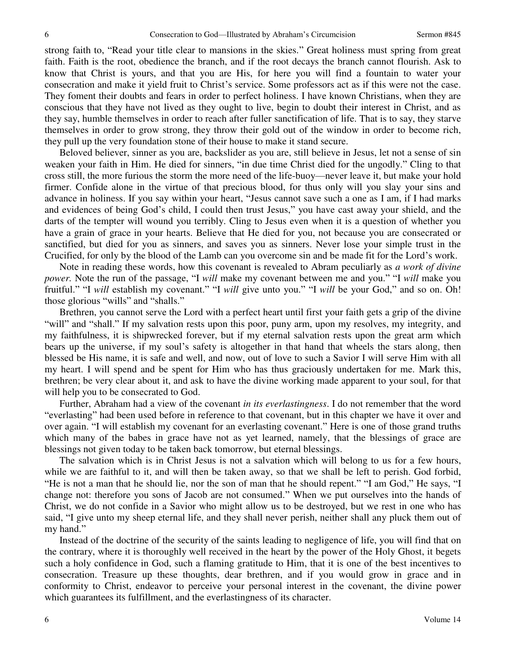strong faith to, "Read your title clear to mansions in the skies." Great holiness must spring from great faith. Faith is the root, obedience the branch, and if the root decays the branch cannot flourish. Ask to know that Christ is yours, and that you are His, for here you will find a fountain to water your consecration and make it yield fruit to Christ's service. Some professors act as if this were not the case. They foment their doubts and fears in order to perfect holiness. I have known Christians, when they are conscious that they have not lived as they ought to live, begin to doubt their interest in Christ, and as they say, humble themselves in order to reach after fuller sanctification of life. That is to say, they starve themselves in order to grow strong, they throw their gold out of the window in order to become rich, they pull up the very foundation stone of their house to make it stand secure.

 Beloved believer, sinner as you are, backslider as you are, still believe in Jesus, let not a sense of sin weaken your faith in Him. He died for sinners, "in due time Christ died for the ungodly." Cling to that cross still, the more furious the storm the more need of the life-buoy—never leave it, but make your hold firmer. Confide alone in the virtue of that precious blood, for thus only will you slay your sins and advance in holiness. If you say within your heart, "Jesus cannot save such a one as I am, if I had marks and evidences of being God's child, I could then trust Jesus," you have cast away your shield, and the darts of the tempter will wound you terribly. Cling to Jesus even when it is a question of whether you have a grain of grace in your hearts. Believe that He died for you, not because you are consecrated or sanctified, but died for you as sinners, and saves you as sinners. Never lose your simple trust in the Crucified, for only by the blood of the Lamb can you overcome sin and be made fit for the Lord's work.

 Note in reading these words, how this covenant is revealed to Abram peculiarly as *a work of divine power.* Note the run of the passage, "I *will* make my covenant between me and you." "I *will* make you fruitful." "I *will* establish my covenant." "I *will* give unto you." "I *will* be your God," and so on. Oh! those glorious "wills" and "shalls."

 Brethren, you cannot serve the Lord with a perfect heart until first your faith gets a grip of the divine "will" and "shall." If my salvation rests upon this poor, puny arm, upon my resolves, my integrity, and my faithfulness, it is shipwrecked forever, but if my eternal salvation rests upon the great arm which bears up the universe, if my soul's safety is altogether in that hand that wheels the stars along, then blessed be His name, it is safe and well, and now, out of love to such a Savior I will serve Him with all my heart. I will spend and be spent for Him who has thus graciously undertaken for me. Mark this, brethren; be very clear about it, and ask to have the divine working made apparent to your soul, for that will help you to be consecrated to God.

 Further, Abraham had a view of the covenant *in its everlastingness*. I do not remember that the word "everlasting" had been used before in reference to that covenant, but in this chapter we have it over and over again. "I will establish my covenant for an everlasting covenant." Here is one of those grand truths which many of the babes in grace have not as yet learned, namely, that the blessings of grace are blessings not given today to be taken back tomorrow, but eternal blessings.

 The salvation which is in Christ Jesus is not a salvation which will belong to us for a few hours, while we are faithful to it, and will then be taken away, so that we shall be left to perish. God forbid, "He is not a man that he should lie, nor the son of man that he should repent." "I am God," He says, "I change not: therefore you sons of Jacob are not consumed." When we put ourselves into the hands of Christ, we do not confide in a Savior who might allow us to be destroyed, but we rest in one who has said, "I give unto my sheep eternal life, and they shall never perish, neither shall any pluck them out of my hand."

 Instead of the doctrine of the security of the saints leading to negligence of life, you will find that on the contrary, where it is thoroughly well received in the heart by the power of the Holy Ghost, it begets such a holy confidence in God, such a flaming gratitude to Him, that it is one of the best incentives to consecration. Treasure up these thoughts, dear brethren, and if you would grow in grace and in conformity to Christ, endeavor to perceive your personal interest in the covenant, the divine power which guarantees its fulfillment, and the everlastingness of its character.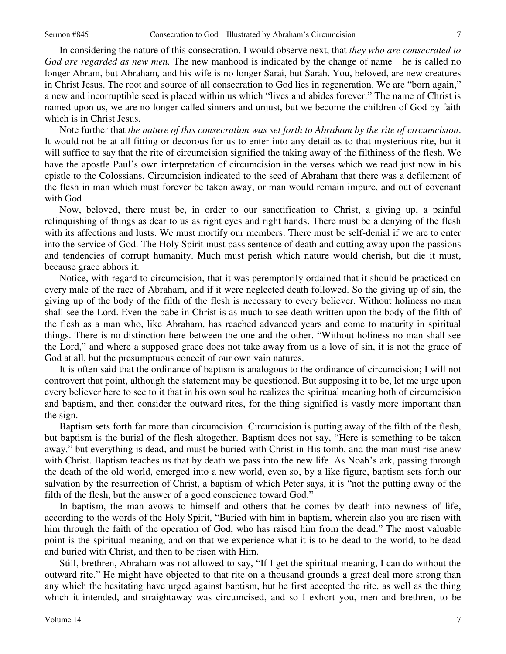In considering the nature of this consecration, I would observe next, that *they who are consecrated to God are regarded as new men.* The new manhood is indicated by the change of name—he is called no longer Abram, but Abraham*,* and his wife is no longer Sarai, but Sarah. You, beloved, are new creatures in Christ Jesus. The root and source of all consecration to God lies in regeneration. We are "born again," a new and incorruptible seed is placed within us which "lives and abides forever." The name of Christ is named upon us, we are no longer called sinners and unjust, but we become the children of God by faith which is in Christ Jesus.

 Note further that *the nature of this consecration was set forth to Abraham by the rite of circumcision*. It would not be at all fitting or decorous for us to enter into any detail as to that mysterious rite, but it will suffice to say that the rite of circumcision signified the taking away of the filthiness of the flesh. We have the apostle Paul's own interpretation of circumcision in the verses which we read just now in his epistle to the Colossians. Circumcision indicated to the seed of Abraham that there was a defilement of the flesh in man which must forever be taken away, or man would remain impure, and out of covenant with God.

 Now, beloved, there must be, in order to our sanctification to Christ, a giving up, a painful relinquishing of things as dear to us as right eyes and right hands. There must be a denying of the flesh with its affections and lusts. We must mortify our members. There must be self-denial if we are to enter into the service of God. The Holy Spirit must pass sentence of death and cutting away upon the passions and tendencies of corrupt humanity. Much must perish which nature would cherish, but die it must, because grace abhors it.

 Notice, with regard to circumcision, that it was peremptorily ordained that it should be practiced on every male of the race of Abraham, and if it were neglected death followed. So the giving up of sin, the giving up of the body of the filth of the flesh is necessary to every believer. Without holiness no man shall see the Lord. Even the babe in Christ is as much to see death written upon the body of the filth of the flesh as a man who, like Abraham, has reached advanced years and come to maturity in spiritual things. There is no distinction here between the one and the other. "Without holiness no man shall see the Lord," and where a supposed grace does not take away from us a love of sin, it is not the grace of God at all, but the presumptuous conceit of our own vain natures.

 It is often said that the ordinance of baptism is analogous to the ordinance of circumcision; I will not controvert that point, although the statement may be questioned. But supposing it to be, let me urge upon every believer here to see to it that in his own soul he realizes the spiritual meaning both of circumcision and baptism, and then consider the outward rites, for the thing signified is vastly more important than the sign.

 Baptism sets forth far more than circumcision. Circumcision is putting away of the filth of the flesh, but baptism is the burial of the flesh altogether. Baptism does not say, "Here is something to be taken away," but everything is dead, and must be buried with Christ in His tomb, and the man must rise anew with Christ. Baptism teaches us that by death we pass into the new life. As Noah's ark, passing through the death of the old world, emerged into a new world, even so, by a like figure, baptism sets forth our salvation by the resurrection of Christ, a baptism of which Peter says, it is "not the putting away of the filth of the flesh, but the answer of a good conscience toward God."

 In baptism, the man avows to himself and others that he comes by death into newness of life, according to the words of the Holy Spirit, "Buried with him in baptism, wherein also you are risen with him through the faith of the operation of God, who has raised him from the dead." The most valuable point is the spiritual meaning, and on that we experience what it is to be dead to the world, to be dead and buried with Christ, and then to be risen with Him.

 Still, brethren, Abraham was not allowed to say, "If I get the spiritual meaning, I can do without the outward rite." He might have objected to that rite on a thousand grounds a great deal more strong than any which the hesitating have urged against baptism, but he first accepted the rite, as well as the thing which it intended, and straightaway was circumcised, and so I exhort you, men and brethren, to be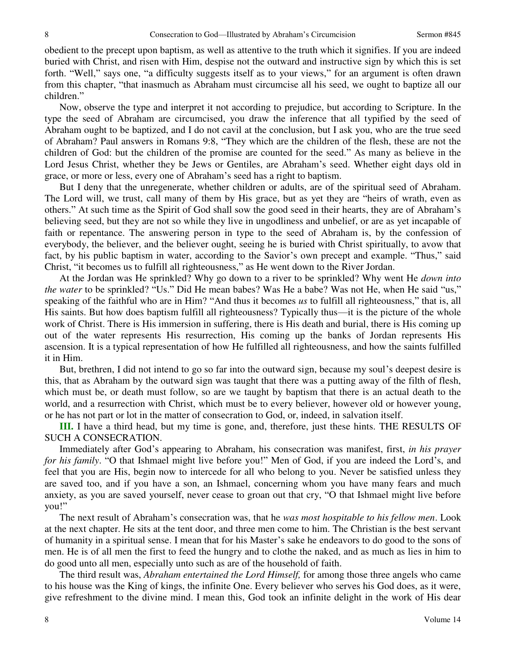obedient to the precept upon baptism, as well as attentive to the truth which it signifies. If you are indeed buried with Christ, and risen with Him, despise not the outward and instructive sign by which this is set forth. "Well," says one, "a difficulty suggests itself as to your views," for an argument is often drawn from this chapter, "that inasmuch as Abraham must circumcise all his seed, we ought to baptize all our children."

 Now, observe the type and interpret it not according to prejudice, but according to Scripture. In the type the seed of Abraham are circumcised, you draw the inference that all typified by the seed of Abraham ought to be baptized, and I do not cavil at the conclusion, but I ask you, who are the true seed of Abraham? Paul answers in Romans 9:8, "They which are the children of the flesh, these are not the children of God: but the children of the promise are counted for the seed." As many as believe in the Lord Jesus Christ, whether they be Jews or Gentiles, are Abraham's seed. Whether eight days old in grace, or more or less, every one of Abraham's seed has a right to baptism.

 But I deny that the unregenerate, whether children or adults, are of the spiritual seed of Abraham. The Lord will, we trust, call many of them by His grace, but as yet they are "heirs of wrath, even as others." At such time as the Spirit of God shall sow the good seed in their hearts, they are of Abraham's believing seed, but they are not so while they live in ungodliness and unbelief, or are as yet incapable of faith or repentance. The answering person in type to the seed of Abraham is, by the confession of everybody, the believer, and the believer ought, seeing he is buried with Christ spiritually, to avow that fact, by his public baptism in water, according to the Savior's own precept and example. "Thus," said Christ, "it becomes us to fulfill all righteousness," as He went down to the River Jordan.

 At the Jordan was He sprinkled? Why go down to a river to be sprinkled? Why went He *down into the water* to be sprinkled? "Us." Did He mean babes? Was He a babe? Was not He, when He said "us," speaking of the faithful who are in Him? "And thus it becomes *us* to fulfill all righteousness," that is, all His saints. But how does baptism fulfill all righteousness? Typically thus—it is the picture of the whole work of Christ. There is His immersion in suffering, there is His death and burial, there is His coming up out of the water represents His resurrection, His coming up the banks of Jordan represents His ascension. It is a typical representation of how He fulfilled all righteousness, and how the saints fulfilled it in Him.

 But, brethren, I did not intend to go so far into the outward sign, because my soul's deepest desire is this, that as Abraham by the outward sign was taught that there was a putting away of the filth of flesh, which must be, or death must follow, so are we taught by baptism that there is an actual death to the world, and a resurrection with Christ, which must be to every believer, however old or however young, or he has not part or lot in the matter of consecration to God, or, indeed, in salvation itself.

**III.** I have a third head, but my time is gone, and, therefore, just these hints. THE RESULTS OF SUCH A CONSECRATION.

 Immediately after God's appearing to Abraham, his consecration was manifest, first, *in his prayer for his family*. "O that Ishmael might live before you!" Men of God, if you are indeed the Lord's, and feel that you are His, begin now to intercede for all who belong to you. Never be satisfied unless they are saved too, and if you have a son, an Ishmael, concerning whom you have many fears and much anxiety, as you are saved yourself, never cease to groan out that cry, "O that Ishmael might live before you!"

 The next result of Abraham's consecration was, that he *was most hospitable to his fellow men*. Look at the next chapter. He sits at the tent door, and three men come to him. The Christian is the best servant of humanity in a spiritual sense. I mean that for his Master's sake he endeavors to do good to the sons of men. He is of all men the first to feed the hungry and to clothe the naked, and as much as lies in him to do good unto all men, especially unto such as are of the household of faith.

 The third result was, *Abraham entertained the Lord Himself,* for among those three angels who came to his house was the King of kings, the infinite One. Every believer who serves his God does, as it were, give refreshment to the divine mind. I mean this, God took an infinite delight in the work of His dear